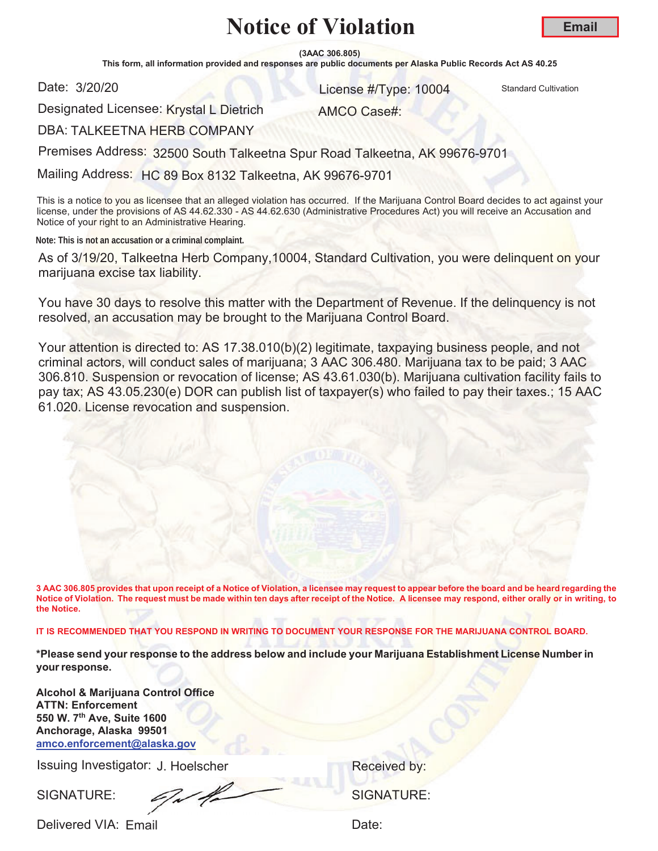**Email**

**(3AAC 306.805)**

This form, all information provided and responses are public documents per Alaska Public Records Act AS 40.25

Date: 3/20/20

**S/20/20 10004** Standard Cultivation **Contract Cultivation Contract Cultivation** 

Designated Licensee: Krystal L Dietrich

AMCO Case#:

DBA: TALKEETNA HERB COMPANY

Premises Address: 32500 South Talkeetna Spur Road Talkeetna, AK 99676-9701

Mailing Address: HC 89 Box 8132 Talkeetna, AK 99676-9701

This is a notice to you as licensee that an alleged violation has occurred. If the Marijuana Control Board decides to act against your license, under the provisions of AS 44.62.330 - AS 44.62.630 (Administrative Procedures Act) you will receive an Accusation and Notice of your right to an Administrative Hearing.

**Note: This is not an accusation or a criminal complaint.**

As of 3/19/20, Talkeetna Herb Company, 10004, Standard Cultivation, you were delinquent on your marijuana excise tax liability.

You have 30 days to resolve this matter with the Department of Revenue. If the delinquency is not resolved, an accusation may be brought to the Marijuana Control Board.

Your attention is directed to: AS 17.38.010(b)(2) legitimate, taxpaying business people, and not criminal actors, will conduct sales of marijuana; 3 AAC 306.480. Marijuana tax to be paid; 3 AAC 306.810. Suspension or revocation of license; AS 43.61.030(b). Marijuana cultivation facility fails to pay tax; AS 43.05.230(e) DOR can publish list of taxpayer(s) who failed to pay their taxes.; 15 AAC 61.020. License revocation and suspension.

**3 AAC 306.805 provides that upon receipt of a Notice of Violation, a licensee may request to appear before the board and be heard regarding the Notice of Violation. The request must be made within ten days after receipt of the Notice. A licensee may respond, either orally or in writing, to the Notice.** 

**IT IS RECOMMENDED THAT YOU RESPOND IN WRITING TO DOCUMENT YOUR RESPONSE FOR THE MARIJUANA CONTROL BOARD.**

**\*Please send your response to the address below and include your Marijuana Establishment License Number in your response.**

**Alcohol & Marijuana Control Office ATTN: Enforcement 550 W. 7th Ave, Suite 1600 Anchorage, Alaska 99501 amco.enforcement@alaska.gov**

Issuing Investigator: J. Hoelscher **Election Control Control Control Control Control Control Control Control Control Control Control Control Control Control Control Control Control Control Control Control Control Control C** 

SIGNATURE: SIGNATURE: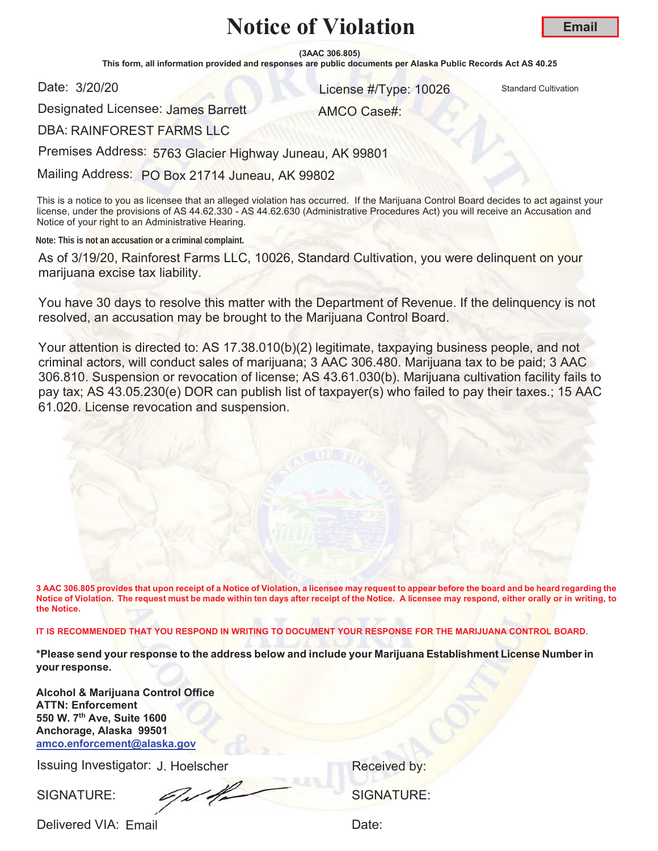**(3AAC 306.805)**

This form, all information provided and responses are public documents per Alaska Public Records Act AS 40.25

Date: 3/20/20

**S/20/20 10026** Standard Cultivation

AMCO Case#:

**Email**

Designated Licensee: James Barrett

DBA: RAINFOREST FARMS LLC

Premises Address: 5763 Glacier Highway Juneau, AK 99801

Mailing Address: PO Box 21714 Juneau, AK 99802

This is a notice to you as licensee that an alleged violation has occurred. If the Marijuana Control Board decides to act against your license, under the provisions of AS 44.62.330 - AS 44.62.630 (Administrative Procedures Act) you will receive an Accusation and Notice of your right to an Administrative Hearing.

**Note: This is not an accusation or a criminal complaint.**

As of 3/19/20, Rainforest Farms LLC, 10026, Standard Cultivation, you were delinquent on your marijuana excise tax liability.

You have 30 days to resolve this matter with the Department of Revenue. If the delinquency is not resolved, an accusation may be brought to the Marijuana Control Board.

Your attention is directed to: AS 17.38.010(b)(2) legitimate, taxpaying business people, and not criminal actors, will conduct sales of marijuana; 3 AAC 306.480. Marijuana tax to be paid; 3 AAC 306.810. Suspension or revocation of license; AS 43.61.030(b). Marijuana cultivation facility fails to pay tax; AS 43.05.230(e) DOR can publish list of taxpayer(s) who failed to pay their taxes.; 15 AAC 61.020. License revocation and suspension.

**3 AAC 306.805 provides that upon receipt of a Notice of Violation, a licensee may request to appear before the board and be heard regarding the Notice of Violation. The request must be made within ten days after receipt of the Notice. A licensee may respond, either orally or in writing, to the Notice.** 

**IT IS RECOMMENDED THAT YOU RESPOND IN WRITING TO DOCUMENT YOUR RESPONSE FOR THE MARIJUANA CONTROL BOARD.**

**\*Please send your response to the address below and include your Marijuana Establishment License Number in your response.**

**Alcohol & Marijuana Control Office ATTN: Enforcement 550 W. 7th Ave, Suite 1600 Anchorage, Alaska 99501 amco.enforcement@alaska.gov**

Issuing Investigator: J. Hoelscher **Election Control Control Control Control Control Control Control Control Control Control Control Control Control Control Control Control Control Control Control Control Control Control C** 

SIGNATURE: COMPUTE: SIGNATURE: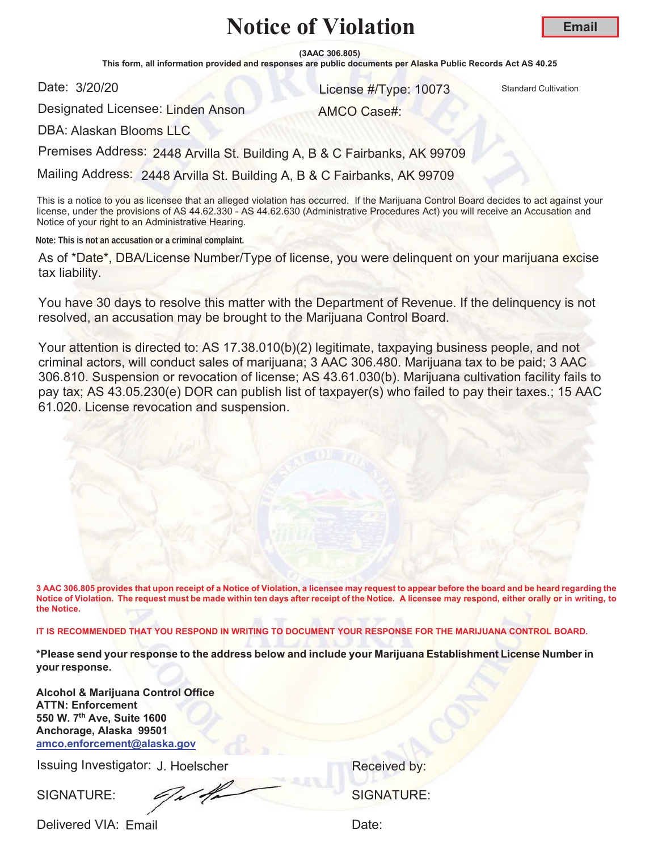$(3AAC 306.805)$ 

This form, all information provided and responses are public documents per Alaska Public Records Act AS 40.25

Date: 3/20/20

1999 3/20 Standard Cultivation Cultivation Cultivation

AMCO Case#:

Designated Licensee: Linden Anson

DBA: Alaskan Bloo<mark>ms LLC</mark>

Premises Address: 2448 Arvilla St. Building A, B & C Fairbanks, AK 99709

Mailing Address: 2448 Arvilla St. Building A, B & C Fairbanks, AK 99709

This is a notice to you as licensee that an alleged violation has occurred. If the Marijuana Control Board decides to act against your license, under the provisions of AS 44.62.330 - AS 44.62.630 (Administrative Procedures Act) you will receive an Accusation and Notice of your right to an Administrative Hearing.

**Note: This is not an accusation or a criminal complaint.**

As of \*Date\*, DBA/License Number/Type of license, you were delinquent on your marijuana excise tax liability.

You have 30 days to resolve this matter with the Department of Revenue. If the delinquency is not resolved, an accusation may be brought to the Marijuana Control Board.

Your attention is directed to: AS 17.38.010(b)(2) legitimate, taxpaying business people, and not criminal actors, will conduct sales of marijuana; 3 AAC 306.480. Marijuana tax to be paid; 3 AAC 306.810. Suspension or revocation of license; AS 43.61.030(b). Marijuana cultivation facility fails to pay tax; AS 43.05.230(e) DOR can publish list of taxpayer(s) who failed to pay their taxes.; 15 AAC 61.020. License revocation and suspension.

**3 AAC 306.805 provides that upon receipt of a Notice of Violation, a licensee may request to appear before the board and be heard regarding the** Notice of Violation. The request must be made within ten days after receipt of the Notice. A licensee may respond, either orally or in writing, to **the Notice.** 

IT IS RECOMMENDED THAT YOU RESPOND IN WRITING TO DOCUMENT YOUR RESPONSE FOR THE MARIJUANA CONTROL BOARD.

\*Please send your response to the address below and include your Marijuana Establishment License Number in **your response.** 

**Alcohol & Marijuana Control Office ATTN: Enforcement** 550 W. 7<sup>th</sup> Ave, Suite 1600 Anchorage, Alaska 99501 amco.enforcement@alaska.gov

Issuing Investigator: J. Hoelscher **Accelusion Secure 19 Secure 19 Secure 19 Secure 19 Secure 19 Secure 19 Secure 19 Secure 19 Secure 19 Secure 19 Secure 19 Secure 19 Secure 19 Secure 19 Secure 19 Secure 19 Secure 19 Secur** 

SIGNATURE: <del>CAMBRIAN</del> SIGNATURE: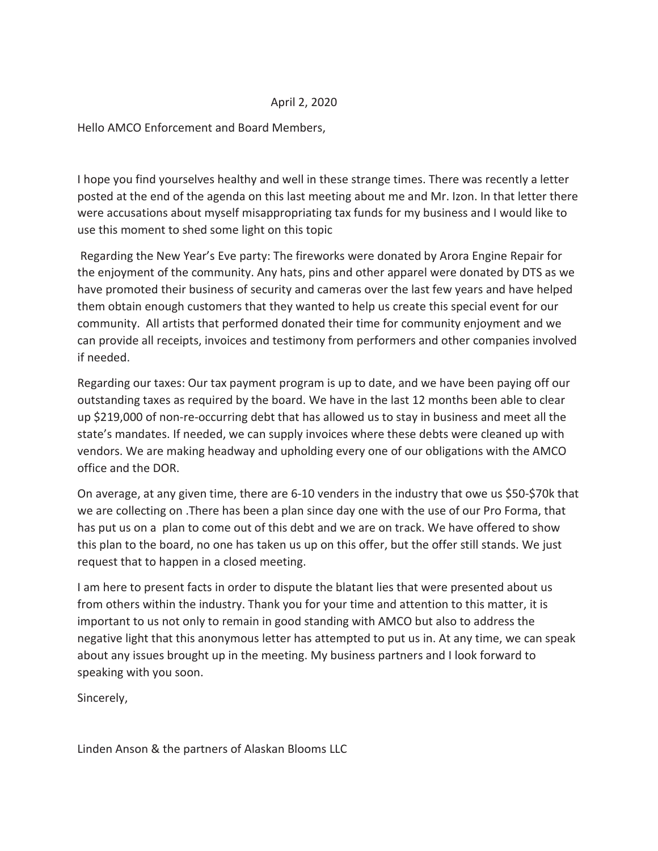# April 2, 2020

Hello AMCO Enforcement and Board Members,

I hope you find yourselves healthy and well in these strange times. There was recently a letter posted at the end of the agenda on this last meeting about me and Mr. Izon. In that letter there were accusations about myself misappropriating tax funds for my business and I would like to use this moment to shed some light on this topic

Regarding the New Year's Eve party: The fireworks were donated by Arora Engine Repair for the enjoyment of the community. Any hats, pins and other apparel were donated by DTS as we have promoted their business of security and cameras over the last few years and have helped them obtain enough customers that they wanted to help us create this special event for our community. All artists that performed donated their time for community enjoyment and we can provide all receipts, invoices and testimony from performers and other companies involved if needed.

Regarding our taxes: Our tax payment program is up to date, and we have been paying off our outstanding taxes as required by the board. We have in the last 12 months been able to clear up \$219,000 of non-re-occurring debt that has allowed us to stay in business and meet all the state's mandates. If needed, we can supply invoices where these debts were cleaned up with vendors. We are making headway and upholding every one of our obligations with the AMCO office and the DOR.

On average, at any given time, there are 6-10 venders in the industry that owe us \$50-\$70k that we are collecting on . There has been a plan since day one with the use of our Pro Forma, that has put us on a plan to come out of this debt and we are on track. We have offered to show this plan to the board, no one has taken us up on this offer, but the offer still stands. We just request that to happen in a closed meeting.

I am here to present facts in order to dispute the blatant lies that were presented about us from others within the industry. Thank you for your time and attention to this matter, it is important to us not only to remain in good standing with AMCO but also to address the negative light that this anonymous letter has attempted to put us in. At any time, we can speak about any issues brought up in the meeting. My business partners and I look forward to speaking with you soon.

Sincerely,

Linden Anson & the partners of Alaskan Blooms LLC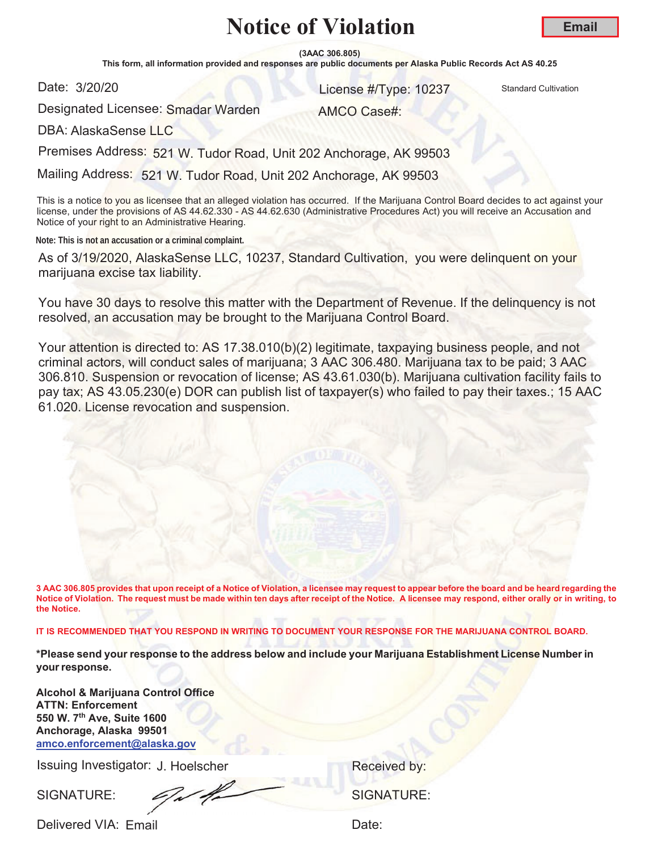**(3AAC 306.805)**

This form, all information provided and responses are public documents per Alaska Public Records Act AS 40.25

Date: 3/20/20

**S/20/20** Standard Cultivation **Contract Cultivation Contract Cultivation Contract Cultivation** 

AMCO Case#:

Designated Licensee: S<mark>madar Warden</mark>

DBA: AlaskaSense LLC

Premises Address: 521 W. Tudor Road, Unit 202 Anchorage, AK 99503

Mailing Address: 521 W. Tudor Road, Unit 202 Anchorage, AK 99503

This is a notice to you as licensee that an alleged violation has occurred. If the Marijuana Control Board decides to act against your license, under the provisions of AS 44.62.330 - AS 44.62.630 (Administrative Procedures Act) you will receive an Accusation and Notice of your right to an Administrative Hearing.

**Note: This is not an accusation or a criminal complaint.**

As of 3/19/2020, AlaskaSense LLC, 10237, Standard Cultivation, you were delinquent on your marijuana excise tax liability.

You have 30 days to resolve this matter with the Department of Revenue. If the delinquency is not resolved, an accusation may be brought to the Marijuana Control Board.

Your attention is directed to: AS 17.38.010(b)(2) legitimate, taxpaying business people, and not criminal actors, will conduct sales of marijuana; 3 AAC 306.480. Marijuana tax to be paid; 3 AAC 306.810. Suspension or revocation of license; AS 43.61.030(b). Marijuana cultivation facility fails to pay tax; AS 43.05.230(e) DOR can publish list of taxpayer(s) who failed to pay their taxes.; 15 AAC 61.020. License revocation and suspension.

**3 AAC 306.805 provides that upon receipt of a Notice of Violation, a licensee may request to appear before the board and be heard regarding the Notice of Violation. The request must be made within ten days after receipt of the Notice. A licensee may respond, either orally or in writing, to the Notice.** 

**IT IS RECOMMENDED THAT YOU RESPOND IN WRITING TO DOCUMENT YOUR RESPONSE FOR THE MARIJUANA CONTROL BOARD.**

**\*Please send your response to the address below and include your Marijuana Establishment License Number in your response.**

**Alcohol & Marijuana Control Office ATTN: Enforcement 550 W. 7th Ave, Suite 1600 Anchorage, Alaska 99501 amco.enforcement@alaska.gov**

Issuing Investigator: J. Hoelscher **Election Control Control Control Control Control Control Control Control Control Control Control Control Control Control Control Control Control Control Control Control Control Control C** 

SIGNATURE: COMPUTE: SIGNATURE: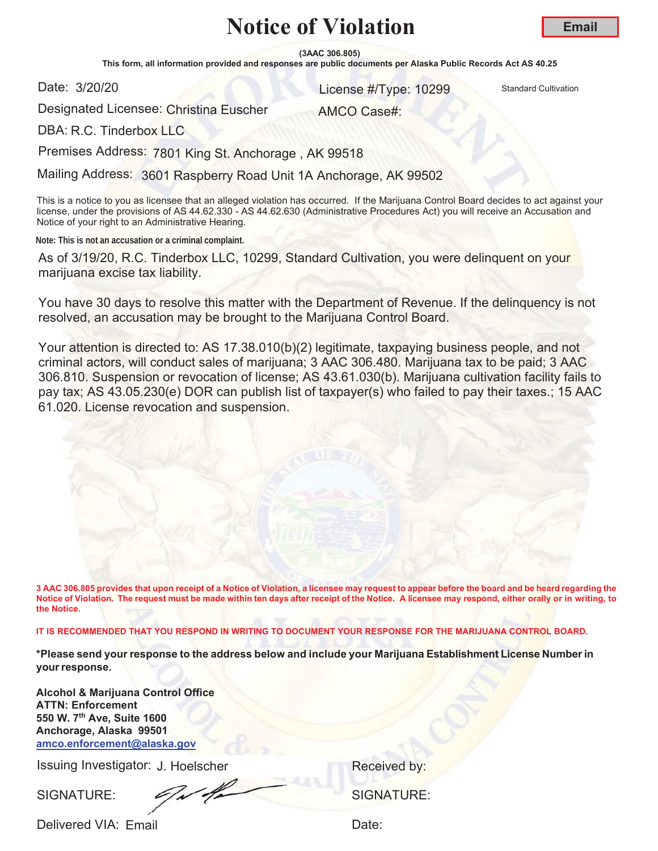**(3AAC 306.805)**

This form, all information provided and responses are public documents per Alaska Public Records Act AS 40.25

Date: 3/20/20

**S/20/20** Standard Cultivation **Contract Cultivation Contract Cultivation Contract Cultivation** 

AMCO Case#:

**Email**

Designated Licensee: <mark>Christina Euscher</mark>

DBA: R.C. Tinderbox LLC

Premises Address: 7801 King St. Anchorage , AK 99518

Mailing Address: 3601 Raspberry Road Unit 1A Anchorage, AK 99502

This is a notice to you as licensee that an alleged violation has occurred. If the Marijuana Control Board decides to act against your license, under the provisions of AS 44.62.330 - AS 44.62.630 (Administrative Procedures Act) you will receive an Accusation and Notice of your right to an Administrative Hearing.

**Note: This is not an accusation or a criminal complaint.**

As of 3/19/20, R.C. Tinderbox LLC, 10299, Standard Cultivation, you were delinquent on your marijuana excise tax liability.

You have 30 days to resolve this matter with the Department of Revenue. If the delinquency is not resolved, an accusation may be brought to the Marijuana Control Board.

Your attention is directed to: AS 17.38.010(b)(2) legitimate, taxpaying business people, and not criminal actors, will conduct sales of marijuana; 3 AAC 306.480. Marijuana tax to be paid; 3 AAC 306.810. Suspension or revocation of license; AS 43.61.030(b). Marijuana cultivation facility fails to pay tax; AS 43.05.230(e) DOR can publish list of taxpayer(s) who failed to pay their taxes.; 15 AAC 61.020. License revocation and suspension.

**3 AAC 306.805 provides that upon receipt of a Notice of Violation, a licensee may request to appear before the board and be heard regarding the Notice of Violation. The request must be made within ten days after receipt of the Notice. A licensee may respond, either orally or in writing, to the Notice.** 

**IT IS RECOMMENDED THAT YOU RESPOND IN WRITING TO DOCUMENT YOUR RESPONSE FOR THE MARIJUANA CONTROL BOARD.**

**\*Please send your response to the address below and include your Marijuana Establishment License Number in your response.**

**Alcohol & Marijuana Control Office ATTN: Enforcement 550 W. 7th Ave, Suite 1600 Anchorage, Alaska 99501 amco.enforcement@alaska.gov**

Issuing Investigator: J. Hoelscher **Election Control Control Control Control Control Control Control Control Control Control Control Control Control Control Control Control Control Control Control Control Control Control C** 

SIGNATURE: CONVERT SIGNATURE: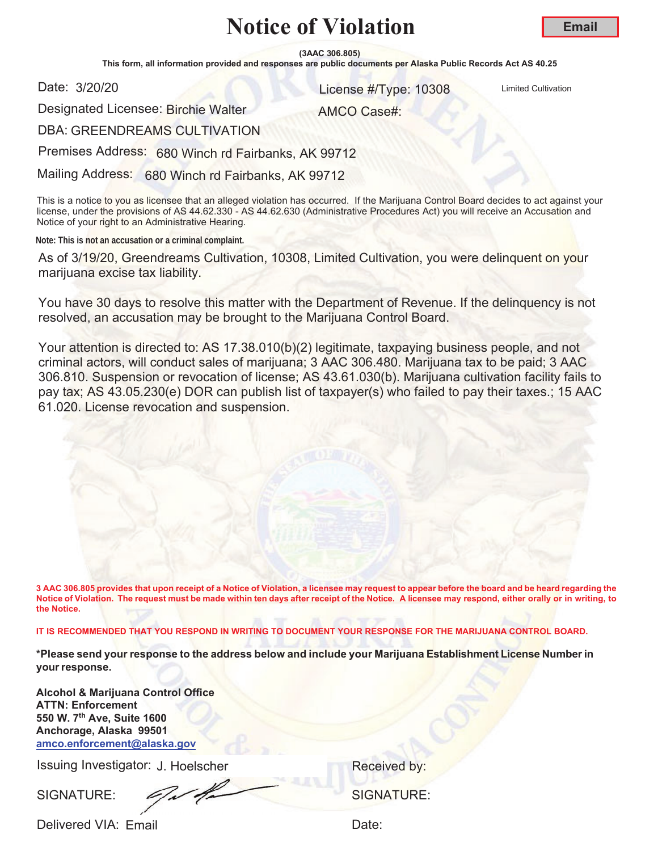**Email**

**(3AAC 306.805)**

This form, all information provided and responses are public documents per Alaska Public Records Act AS 40.25

Date: 3/20/20

**3/20/20** License #/Type: 10308 Limited Cultivation

Designated Licensee: Birchie Walter

AMCO Case#:

DBA: GREENDREAMS CULTIVATION

Premises Address: 680 Winch rd Fairbanks, AK 99712

Mailing Address: 680 Winch rd Fairbanks, AK 99712

This is a notice to you as licensee that an alleged violation has occurred. If the Marijuana Control Board decides to act against your license, under the provisions of AS 44.62.330 - AS 44.62.630 (Administrative Procedures Act) you will receive an Accusation and Notice of your right to an Administrative Hearing.

**Note: This is not an accusation or a criminal complaint.**

As of 3/19/20, Greendreams Cultivation, 10308, Limited Cultivation, you were delinquent on your marijuana excise tax liability.

You have 30 days to resolve this matter with the Department of Revenue. If the delinquency is not resolved, an accusation may be brought to the Marijuana Control Board.

Your attention is directed to: AS 17.38.010(b)(2) legitimate, taxpaying business people, and not criminal actors, will conduct sales of marijuana; 3 AAC 306.480. Marijuana tax to be paid; 3 AAC 306.810. Suspension or revocation of license; AS 43.61.030(b). Marijuana cultivation facility fails to pay tax; AS 43.05.230(e) DOR can publish list of taxpayer(s) who failed to pay their taxes.; 15 AAC 61.020. License revocation and suspension.

**3 AAC 306.805 provides that upon receipt of a Notice of Violation, a licensee may request to appear before the board and be heard regarding the Notice of Violation. The request must be made within ten days after receipt of the Notice. A licensee may respond, either orally or in writing, to the Notice.** 

**IT IS RECOMMENDED THAT YOU RESPOND IN WRITING TO DOCUMENT YOUR RESPONSE FOR THE MARIJUANA CONTROL BOARD.**

**\*Please send your response to the address below and include your Marijuana Establishment License Number in your response.**

**Alcohol & Marijuana Control Office ATTN: Enforcement 550 W. 7th Ave, Suite 1600 Anchorage, Alaska 99501 amco.enforcement@alaska.gov**

Issuing Investigator: J. Hoelscher **Election Control Control Control Control Control Control Control Control Control Control Control Control Control Control Control Control Control Control Control Control Control Control C** 

SIGNATURE:  $\mathscr{L}$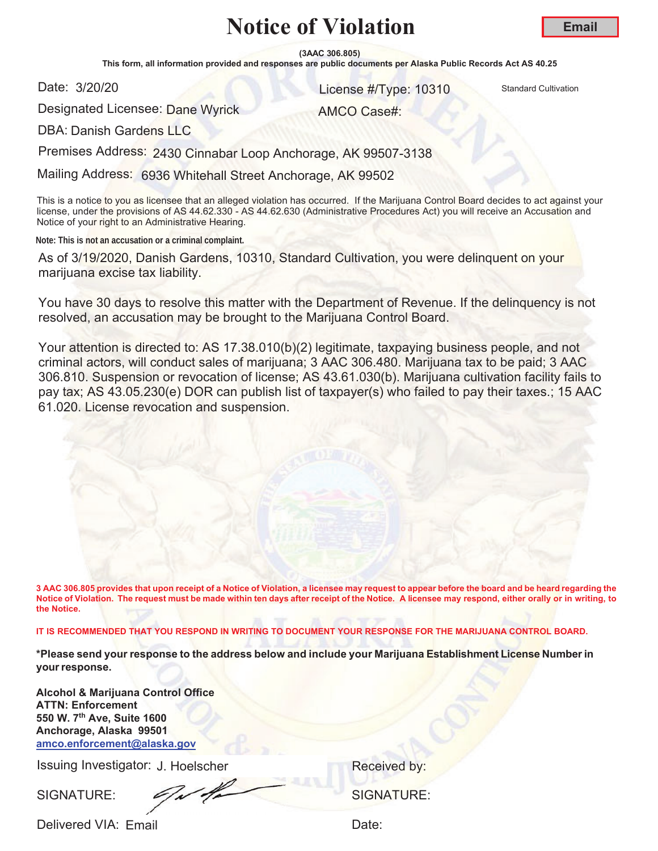**(3AAC 306.805)**

This form, all information provided and responses are public documents per Alaska Public Records Act AS 40.25

Date: 3/20/20

**S/20/20 10310** Standard Cultivation

**Email**

Designated Licensee: <mark>Dane Wyrick</mark>

AMCO Case#:

DBA: Danish Gardens LLC

Premises Address: 2430 Cinnabar Loop Anchorage, AK 99507-3138

Mailing Address: 6936 Whitehall Street Anchorage, AK 99502

This is a notice to you as licensee that an alleged violation has occurred. If the Marijuana Control Board decides to act against your license, under the provisions of AS 44.62.330 - AS 44.62.630 (Administrative Procedures Act) you will receive an Accusation and Notice of your right to an Administrative Hearing.

**Note: This is not an accusation or a criminal complaint.**

As of 3/19/2020, Danish Gardens, 10310, Standard Cultivation, you were delinquent on your marijuana excise tax liability.

You have 30 days to resolve this matter with the Department of Revenue. If the delinquency is not resolved, an accusation may be brought to the Marijuana Control Board.

Your attention is directed to: AS 17.38.010(b)(2) legitimate, taxpaying business people, and not criminal actors, will conduct sales of marijuana; 3 AAC 306.480. Marijuana tax to be paid; 3 AAC 306.810. Suspension or revocation of license; AS 43.61.030(b). Marijuana cultivation facility fails to pay tax; AS 43.05.230(e) DOR can publish list of taxpayer(s) who failed to pay their taxes.; 15 AAC 61.020. License revocation and suspension.

**3 AAC 306.805 provides that upon receipt of a Notice of Violation, a licensee may request to appear before the board and be heard regarding the Notice of Violation. The request must be made within ten days after receipt of the Notice. A licensee may respond, either orally or in writing, to the Notice.** 

**IT IS RECOMMENDED THAT YOU RESPOND IN WRITING TO DOCUMENT YOUR RESPONSE FOR THE MARIJUANA CONTROL BOARD.**

**\*Please send your response to the address below and include your Marijuana Establishment License Number in your response.**

**Alcohol & Marijuana Control Office ATTN: Enforcement 550 W. 7th Ave, Suite 1600 Anchorage, Alaska 99501 amco.enforcement@alaska.gov**

Issuing Investigator: J. Hoelscher **Election Control Control Control Control Control Control Control Control Control Control Control Control Control Control Control Control Control Control Control Control Control Control C** 

SIGNATURE: COMPANY SIGNATURE: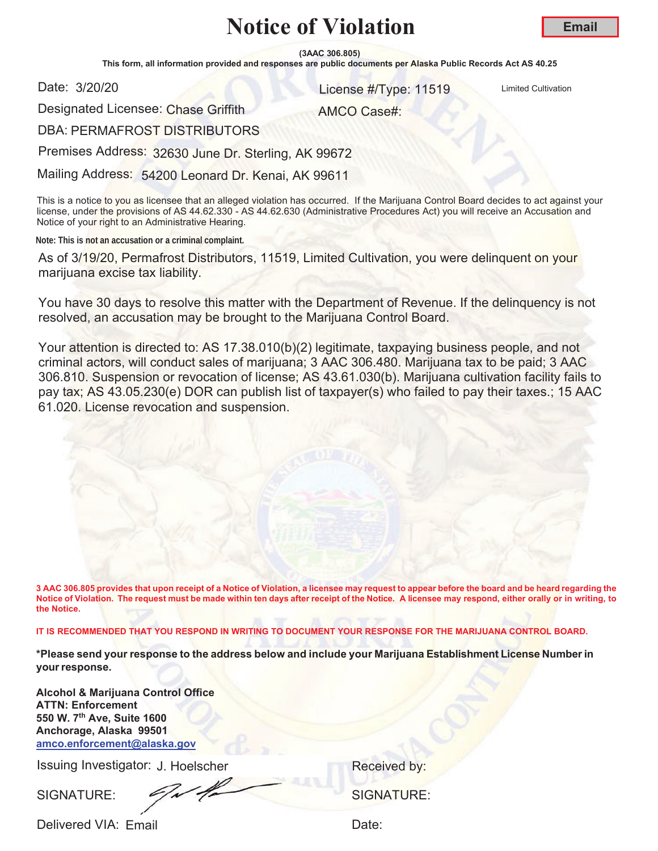**(3AAC 306.805)**

This form, all information provided and responses are public documents per Alaska Public Records Act AS 40.25

Date: 3/20/20

**COLLEGE AT AND CONTROLL CONTROLL CONTROLL CONTROLL CONTROLL CONTROLL CONTROLL CONTROLL CONTROLL CONTROLL CONTROLL CONTROLL CONTROLL CONTROLL CONTROLL CONTROLL CONTROLL CONTROLL CONTROLL CONTROLL CONTROLL CONTROLL CONTROLL** 

**Email**

Designated Licensee: Chase Griffith

AMCO Case#:

DBA: PERMAFROST DISTRIBUTORS

Premises Address: 32630 June Dr. Sterling, AK 99672

Mailing Address: 54200 Leonard Dr. Kenai, AK 99611

This is a notice to you as licensee that an alleged violation has occurred. If the Marijuana Control Board decides to act against your license, under the provisions of AS 44.62.330 - AS 44.62.630 (Administrative Procedures Act) you will receive an Accusation and Notice of your right to an Administrative Hearing.

**Note: This is not an accusation or a criminal complaint.**

As of 3/19/20, Permafrost Distributors, 11519, Limited Cultivation, you were delinquent on your marijuana excise tax liability.

You have 30 days to resolve this matter with the Department of Revenue. If the delinquency is not resolved, an accusation may be brought to the Marijuana Control Board.

Your attention is directed to: AS 17.38.010(b)(2) legitimate, taxpaying business people, and not criminal actors, will conduct sales of marijuana; 3 AAC 306.480. Marijuana tax to be paid; 3 AAC 306.810. Suspension or revocation of license; AS 43.61.030(b). Marijuana cultivation facility fails to pay tax; AS 43.05.230(e) DOR can publish list of taxpayer(s) who failed to pay their taxes.; 15 AAC 61.020. License revocation and suspension.

**3 AAC 306.805 provides that upon receipt of a Notice of Violation, a licensee may request to appear before the board and be heard regarding the Notice of Violation. The request must be made within ten days after receipt of the Notice. A licensee may respond, either orally or in writing, to the Notice.** 

**IT IS RECOMMENDED THAT YOU RESPOND IN WRITING TO DOCUMENT YOUR RESPONSE FOR THE MARIJUANA CONTROL BOARD.**

**\*Please send your response to the address below and include your Marijuana Establishment License Number in your response.**

**Alcohol & Marijuana Control Office ATTN: Enforcement 550 W. 7th Ave, Suite 1600 Anchorage, Alaska 99501 amco.enforcement@alaska.gov**

Issuing Investigator: J. Hoelscher **Election Control Control Control Control Control Control Control Control Control Control Control Control Control Control Control Control Control Control Control Control Control Control C** 

SIGNATURE:  $\frac{1}{2}$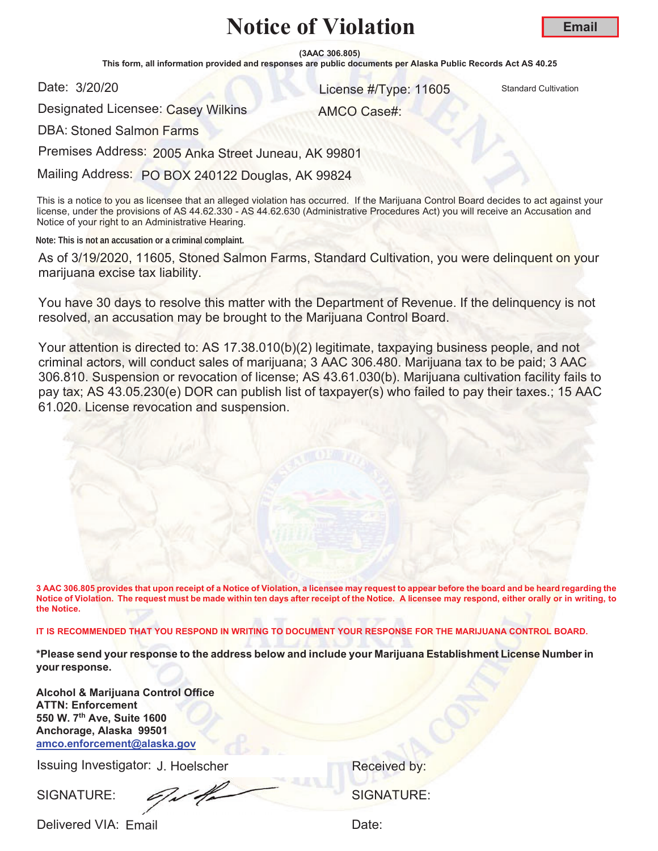**(3AAC 306.805)**

This form, all information provided and responses are public documents per Alaska Public Records Act AS 40.25

Date: 3/20/20

**S/20/20 11605** Standard Cultivation

AMCO Case#:

Designated Licensee: Casey Wilkins

DBA: Stoned Salmon Farms

Premises Address: 2005 Anka Street Juneau, AK 99801

Mailing Address: PO BOX 240122 Douglas, AK 99824

This is a notice to you as licensee that an alleged violation has occurred. If the Marijuana Control Board decides to act against your license, under the provisions of AS 44.62.330 - AS 44.62.630 (Administrative Procedures Act) you will receive an Accusation and Notice of your right to an Administrative Hearing.

**Note: This is not an accusation or a criminal complaint.**

As of 3/19/2020, 11605, Stoned Salmon Farms, Standard Cultivation, you were delinquent on your marijuana excise tax liability.

You have 30 days to resolve this matter with the Department of Revenue. If the delinquency is not resolved, an accusation may be brought to the Marijuana Control Board.

Your attention is directed to: AS 17.38.010(b)(2) legitimate, taxpaying business people, and not criminal actors, will conduct sales of marijuana; 3 AAC 306.480. Marijuana tax to be paid; 3 AAC 306.810. Suspension or revocation of license; AS 43.61.030(b). Marijuana cultivation facility fails to pay tax; AS 43.05.230(e) DOR can publish list of taxpayer(s) who failed to pay their taxes.; 15 AAC 61.020. License revocation and suspension.

**3 AAC 306.805 provides that upon receipt of a Notice of Violation, a licensee may request to appear before the board and be heard regarding the Notice of Violation. The request must be made within ten days after receipt of the Notice. A licensee may respond, either orally or in writing, to the Notice.** 

**IT IS RECOMMENDED THAT YOU RESPOND IN WRITING TO DOCUMENT YOUR RESPONSE FOR THE MARIJUANA CONTROL BOARD.**

**\*Please send your response to the address below and include your Marijuana Establishment License Number in your response.**

**Alcohol & Marijuana Control Office ATTN: Enforcement 550 W. 7th Ave, Suite 1600 Anchorage, Alaska 99501 amco.enforcement@alaska.gov**

Issuing Investigator: J. Hoelscher **Election Control Control Control Control Control Control Control Control Control Control Control Control Control Control Control Control Control Control Control Control Control Control C** 

SIGNATURE: 6/1/4 SIGNATURE: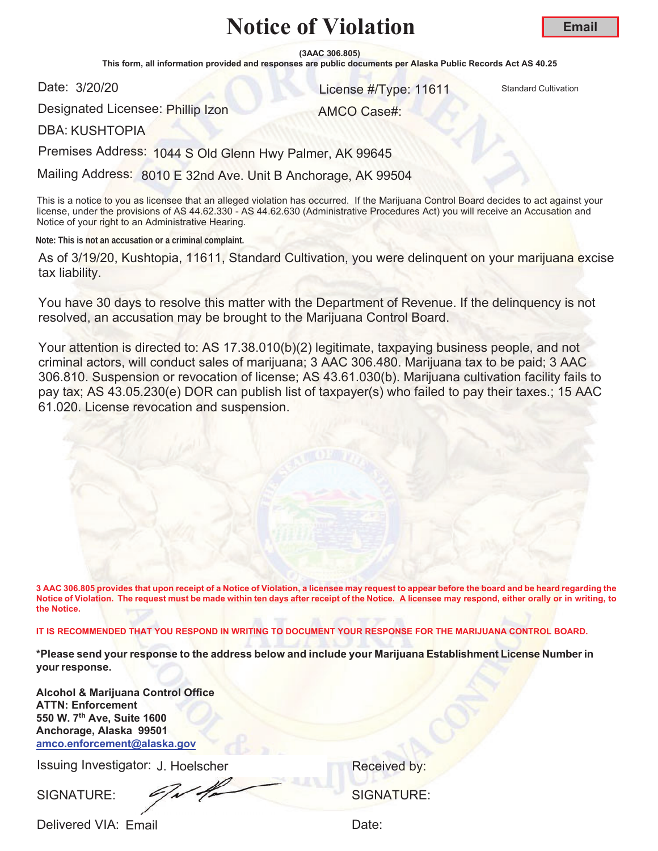**(3AAC 306.805)**

This form, all information provided and responses are public documents per Alaska Public Records Act AS 40.25

Date: 3/20/20

**S/20/20** 11611 Standard Cultivation

Designated Licensee: Phillip Izon

AMCO Case#:

DBA: KUSHTOPIA

Premises Address: 1044 S Old Glenn Hwy Palmer, AK 99645

Mailing Address: 8010 E 32nd Ave. Unit B Anchorage, AK 99504

This is a notice to you as licensee that an alleged violation has occurred. If the Marijuana Control Board decides to act against your license, under the provisions of AS 44.62.330 - AS 44.62.630 (Administrative Procedures Act) you will receive an Accusation and Notice of your right to an Administrative Hearing.

**Note: This is not an accusation or a criminal complaint.**

As of 3/19/20, Kushtopia, 11611, Standard Cultivation, you were delinquent on your marijuana excise tax liability.

You have 30 days to resolve this matter with the Department of Revenue. If the delinquency is not resolved, an accusation may be brought to the Marijuana Control Board.

Your attention is directed to: AS 17.38.010(b)(2) legitimate, taxpaying business people, and not criminal actors, will conduct sales of marijuana; 3 AAC 306.480. Marijuana tax to be paid; 3 AAC 306.810. Suspension or revocation of license; AS 43.61.030(b). Marijuana cultivation facility fails to pay tax; AS 43.05.230(e) DOR can publish list of taxpayer(s) who failed to pay their taxes.; 15 AAC 61.020. License revocation and suspension.

**3 AAC 306.805 provides that upon receipt of a Notice of Violation, a licensee may request to appear before the board and be heard regarding the Notice of Violation. The request must be made within ten days after receipt of the Notice. A licensee may respond, either orally or in writing, to the Notice.** 

**IT IS RECOMMENDED THAT YOU RESPOND IN WRITING TO DOCUMENT YOUR RESPONSE FOR THE MARIJUANA CONTROL BOARD.**

**\*Please send your response to the address below and include your Marijuana Establishment License Number in your response.**

**Alcohol & Marijuana Control Office ATTN: Enforcement 550 W. 7th Ave, Suite 1600 Anchorage, Alaska 99501 amco.enforcement@alaska.gov**

Issuing Investigator: J. Hoelscher **Election Control Control Control Control Control Control Control Control Control Control Control Control Control Control Control Control Control Control Control Control Control Control C** 

SIGNATURE: SIGNATURE: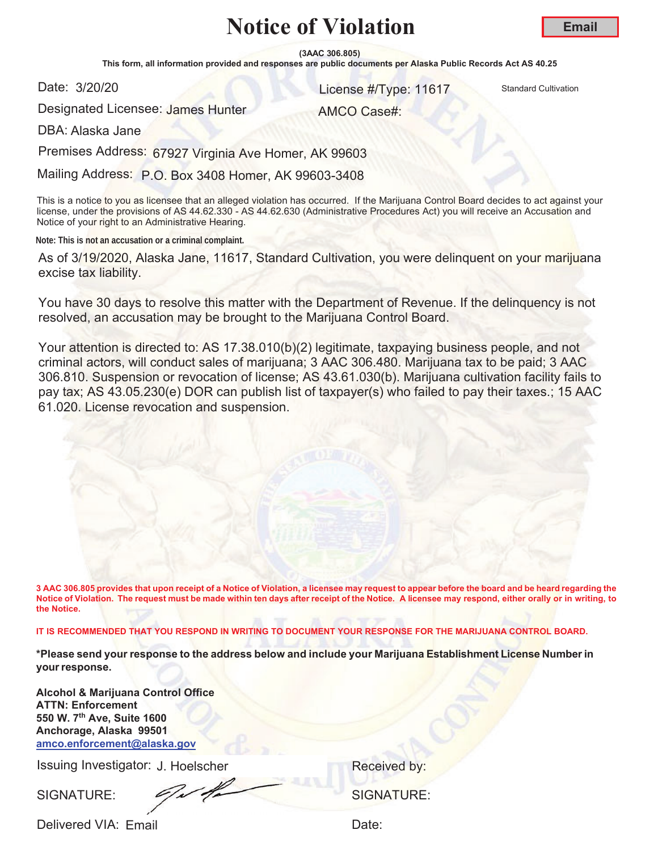**(3AAC 306.805)**

This form, all information provided and responses are public documents per Alaska Public Records Act AS 40.25

Date: 3/20/20

**S/20/20** 11617 Standard Cultivation

AMCO Case#:

Designated Licensee: James Hunter

DBA: Alaska Jane

Premises Address: 67927 Virginia Ave Homer, AK 99603

Mailing Address: P.O. Box 3408 Homer, AK 99603-3408

This is a notice to you as licensee that an alleged violation has occurred. If the Marijuana Control Board decides to act against your license, under the provisions of AS 44.62.330 - AS 44.62.630 (Administrative Procedures Act) you will receive an Accusation and Notice of your right to an Administrative Hearing.

**Note: This is not an accusation or a criminal complaint.**

As of 3/19/2020, Alaska Jane, 11617, Standard Cultivation, you were delinquent on your marijuana excise tax liability.

You have 30 days to resolve this matter with the Department of Revenue. If the delinquency is not resolved, an accusation may be brought to the Marijuana Control Board.

Your attention is directed to: AS 17.38.010(b)(2) legitimate, taxpaying business people, and not criminal actors, will conduct sales of marijuana; 3 AAC 306.480. Marijuana tax to be paid; 3 AAC 306.810. Suspension or revocation of license; AS 43.61.030(b). Marijuana cultivation facility fails to pay tax; AS 43.05.230(e) DOR can publish list of taxpayer(s) who failed to pay their taxes.; 15 AAC 61.020. License revocation and suspension.

**3 AAC 306.805 provides that upon receipt of a Notice of Violation, a licensee may request to appear before the board and be heard regarding the Notice of Violation. The request must be made within ten days after receipt of the Notice. A licensee may respond, either orally or in writing, to the Notice.** 

**IT IS RECOMMENDED THAT YOU RESPOND IN WRITING TO DOCUMENT YOUR RESPONSE FOR THE MARIJUANA CONTROL BOARD.**

**\*Please send your response to the address below and include your Marijuana Establishment License Number in your response.**

**Alcohol & Marijuana Control Office ATTN: Enforcement 550 W. 7th Ave, Suite 1600 Anchorage, Alaska 99501 amco.enforcement@alaska.gov**

Issuing Investigator: J. Hoelscher **Election Control Control Control Control Control Control Control Control Control Control Control Control Control Control Control Control Control Control Control Control Control Control C** 

SIGNATURE:  $\frac{1}{2}$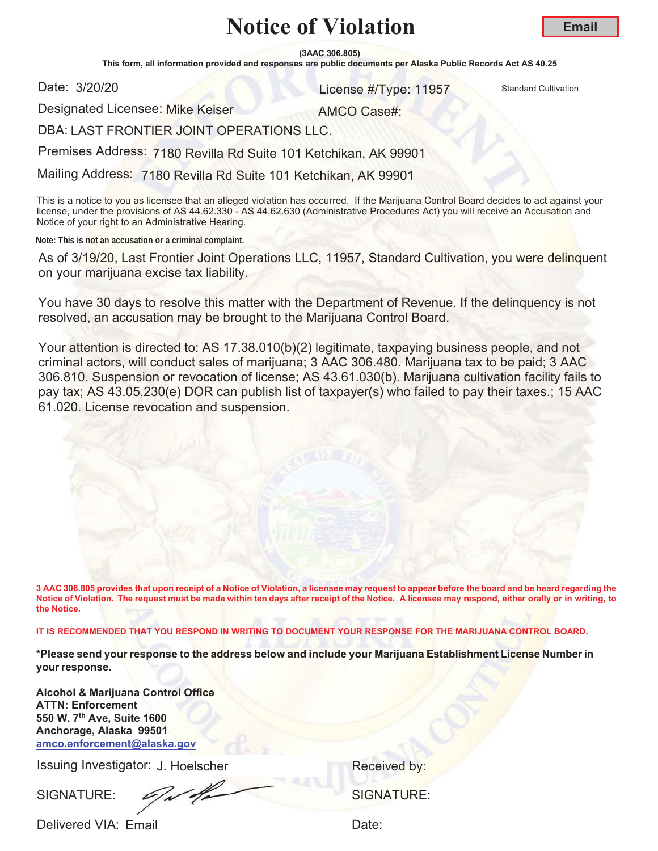**(3AAC 306.805)**

This form, all information provided and responses are public documents per Alaska Public Records Act AS 40.25

Date: 3/20/20

**S/20/20 11957** Standard Cultivation

Designated Licensee: Mike Keiser

AMCO Case#:

DBA: LAST FRONTIER JOINT OPERATIONS LLC.

Premises Address: 7180 Revilla Rd Suite 101 Ketchikan, AK 99901

Mailing Address: 7180 Revilla Rd Suite 101 Ketchikan, AK 99901

This is a notice to you as licensee that an alleged violation has occurred. If the Marijuana Control Board decides to act against your license, under the provisions of AS 44.62.330 - AS 44.62.630 (Administrative Procedures Act) you will receive an Accusation and Notice of your right to an Administrative Hearing.

**Note: This is not an accusation or a criminal complaint.**

As of 3/19/20, Last Frontier Joint Operations LLC, 11957, Standard Cultivation, you were delinquent on your marijuana excise tax liability.

You have 30 days to resolve this matter with the Department of Revenue. If the delinquency is not resolved, an accusation may be brought to the Marijuana Control Board.

Your attention is directed to: AS 17.38.010(b)(2) legitimate, taxpaying business people, and not criminal actors, will conduct sales of marijuana; 3 AAC 306.480. Marijuana tax to be paid; 3 AAC 306.810. Suspension or revocation of license; AS 43.61.030(b). Marijuana cultivation facility fails to pay tax; AS 43.05.230(e) DOR can publish list of taxpayer(s) who failed to pay their taxes.; 15 AAC 61.020. License revocation and suspension.

**3 AAC 306.805 provides that upon receipt of a Notice of Violation, a licensee may request to appear before the board and be heard regarding the Notice of Violation. The request must be made within ten days after receipt of the Notice. A licensee may respond, either orally or in writing, to the Notice.** 

**IT IS RECOMMENDED THAT YOU RESPOND IN WRITING TO DOCUMENT YOUR RESPONSE FOR THE MARIJUANA CONTROL BOARD.**

**\*Please send your response to the address below and include your Marijuana Establishment License Number in your response.**

**Alcohol & Marijuana Control Office ATTN: Enforcement 550 W. 7th Ave, Suite 1600 Anchorage, Alaska 99501 amco.enforcement@alaska.gov**

Issuing Investigator: J. Hoelscher **Election Control Control Control Control Control Control Control Control Control Control Control Control Control Control Control Control Control Control Control Control Control Control C** 

SIGNATURE:  $\mathscr{S}$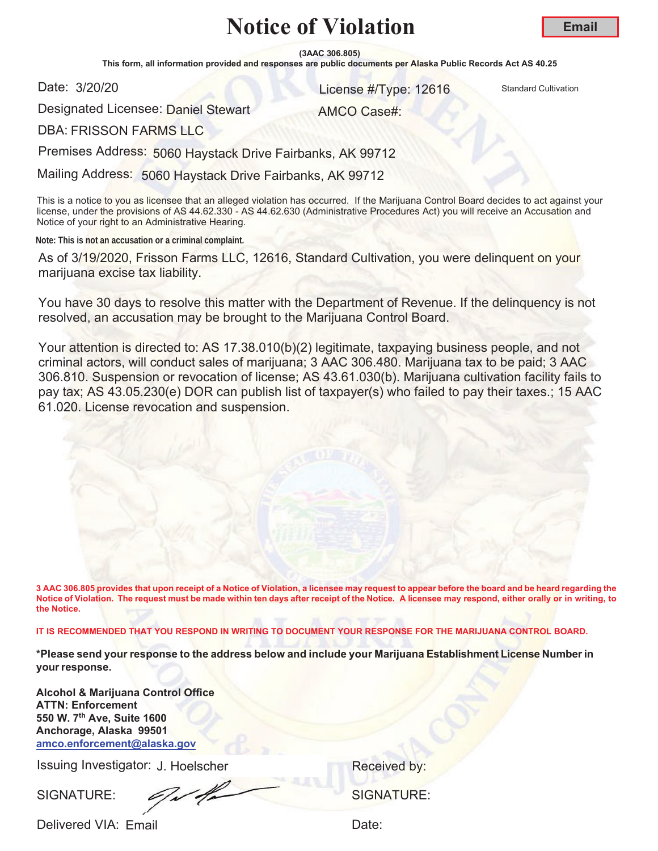**(3AAC 306.805)**

This form, all information provided and responses are public documents per Alaska Public Records Act AS 40.25

Date: 3/20/20

**S/20/20** 12616 Standard Cultivation

**Email**

Designated Licensee: <mark>Daniel Ste</mark>wart

AMCO Case#:

DBA: FRISSON FARMS LLC

Premises Address: 5060 Haystack Drive Fairbanks, AK 99712

Mailing Address: 5060 Haystack Drive Fairbanks, AK 99712

This is a notice to you as licensee that an alleged violation has occurred. If the Marijuana Control Board decides to act against your license, under the provisions of AS 44.62.330 - AS 44.62.630 (Administrative Procedures Act) you will receive an Accusation and Notice of your right to an Administrative Hearing.

**Note: This is not an accusation or a criminal complaint.**

As of 3/19/2020, Frisson Farms LLC, 12616, Standard Cultivation, you were delinquent on your marijuana excise tax liability.

You have 30 days to resolve this matter with the Department of Revenue. If the delinquency is not resolved, an accusation may be brought to the Marijuana Control Board.

Your attention is directed to: AS 17.38.010(b)(2) legitimate, taxpaying business people, and not criminal actors, will conduct sales of marijuana; 3 AAC 306.480. Marijuana tax to be paid; 3 AAC 306.810. Suspension or revocation of license; AS 43.61.030(b). Marijuana cultivation facility fails to pay tax; AS 43.05.230(e) DOR can publish list of taxpayer(s) who failed to pay their taxes.; 15 AAC 61.020. License revocation and suspension.

**3 AAC 306.805 provides that upon receipt of a Notice of Violation, a licensee may request to appear before the board and be heard regarding the Notice of Violation. The request must be made within ten days after receipt of the Notice. A licensee may respond, either orally or in writing, to the Notice.** 

**IT IS RECOMMENDED THAT YOU RESPOND IN WRITING TO DOCUMENT YOUR RESPONSE FOR THE MARIJUANA CONTROL BOARD.**

**\*Please send your response to the address below and include your Marijuana Establishment License Number in your response.**

**Alcohol & Marijuana Control Office ATTN: Enforcement 550 W. 7th Ave, Suite 1600 Anchorage, Alaska 99501 amco.enforcement@alaska.gov**

Issuing Investigator: J. Hoelscher **Election Control Control Control Control Control Control Control Control Control Control Control Control Control Control Control Control Control Control Control Control Control Control C** 

SIGNATURE: SIGNATURE: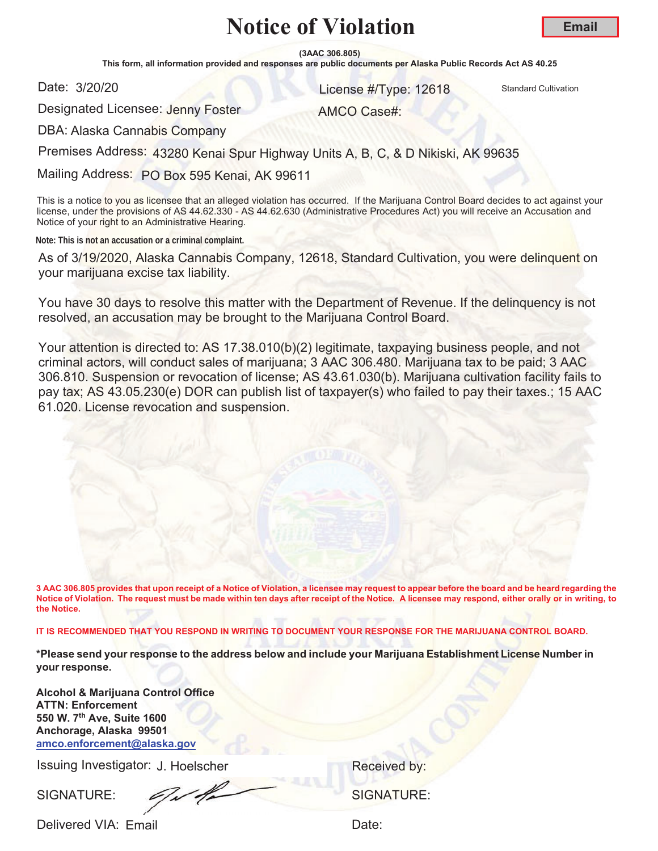**(3AAC 306.805)**

This form, all information provided and responses are public documents per Alaska Public Records Act AS 40.25

Date: 3/20/20

**S/20/20** 12618 Standard Cultivation

AMCO Case#:

Designated Licensee: Jenny Foster

DBA: Alaska Cannabis Company

Premises Address: 43280 Kenai Spur Highway Units A, B, C, & D Nikiski, AK 99635

Mailing Address: PO Box 595 Kenai, AK 99611

This is a notice to you as licensee that an alleged violation has occurred. If the Marijuana Control Board decides to act against your license, under the provisions of AS 44.62.330 - AS 44.62.630 (Administrative Procedures Act) you will receive an Accusation and Notice of your right to an Administrative Hearing.

**Note: This is not an accusation or a criminal complaint.**

As of 3/19/2020, Alaska Cannabis Company, 12618, Standard Cultivation, you were delinquent on your marijuana excise tax liability.

You have 30 days to resolve this matter with the Department of Revenue. If the delinquency is not resolved, an accusation may be brought to the Marijuana Control Board.

Your attention is directed to: AS 17.38.010(b)(2) legitimate, taxpaying business people, and not criminal actors, will conduct sales of marijuana; 3 AAC 306.480. Marijuana tax to be paid; 3 AAC 306.810. Suspension or revocation of license; AS 43.61.030(b). Marijuana cultivation facility fails to pay tax; AS 43.05.230(e) DOR can publish list of taxpayer(s) who failed to pay their taxes.; 15 AAC 61.020. License revocation and suspension.

**3 AAC 306.805 provides that upon receipt of a Notice of Violation, a licensee may request to appear before the board and be heard regarding the Notice of Violation. The request must be made within ten days after receipt of the Notice. A licensee may respond, either orally or in writing, to the Notice.** 

**IT IS RECOMMENDED THAT YOU RESPOND IN WRITING TO DOCUMENT YOUR RESPONSE FOR THE MARIJUANA CONTROL BOARD.**

**\*Please send your response to the address below and include your Marijuana Establishment License Number in your response.**

**Alcohol & Marijuana Control Office ATTN: Enforcement 550 W. 7th Ave, Suite 1600 Anchorage, Alaska 99501 amco.enforcement@alaska.gov**

Issuing Investigator: J. Hoelscher **Election Control Control Control Control Control Control Control Control Control Control Control Control Control Control Control Control Control Control Control Control Control Control C** 

SIGNATURE: 6/1/4/2000 SIGNATURE: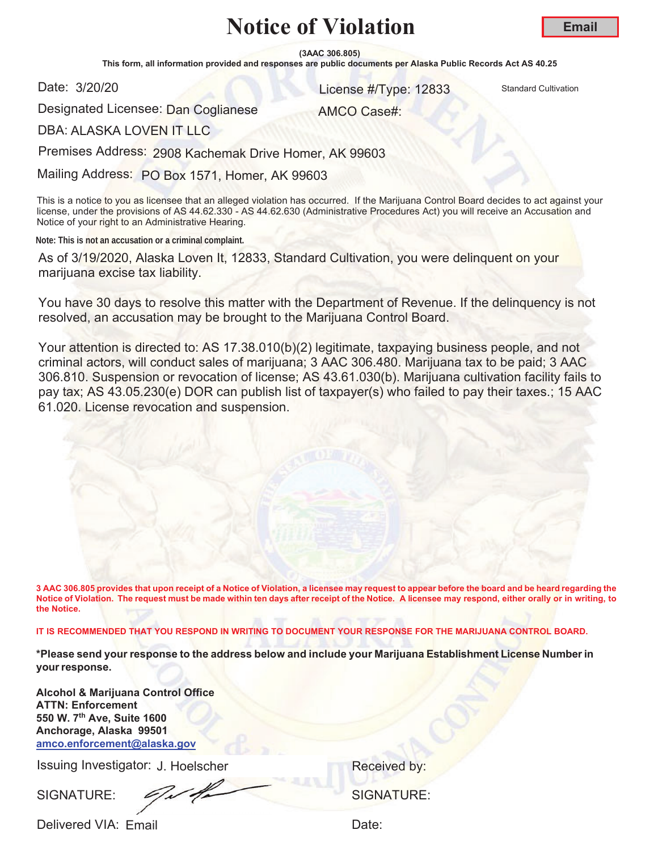**(3AAC 306.805)**

This form, all information provided and responses are public documents per Alaska Public Records Act AS 40.25

Date: 3/20/20

**S/20/20 12833** Standard Cultivation **Contract Cultivation Contract Cultivation** 

AMCO Case#:

Designated Licensee: <mark>Dan Coglianese</mark>

DBA: ALASKA LOVEN IT LLC

Premises Address: 2908 Kachemak Drive Homer, AK 99603

Mailing Address: PO Box 1571, Homer, AK 99603

This is a notice to you as licensee that an alleged violation has occurred. If the Marijuana Control Board decides to act against your license, under the provisions of AS 44.62.330 - AS 44.62.630 (Administrative Procedures Act) you will receive an Accusation and Notice of your right to an Administrative Hearing.

**Note: This is not an accusation or a criminal complaint.**

As of 3/19/2020, Alaska Loven It, 12833, Standard Cultivation, you were delinquent on your marijuana excise tax liability.

You have 30 days to resolve this matter with the Department of Revenue. If the delinquency is not resolved, an accusation may be brought to the Marijuana Control Board.

Your attention is directed to: AS 17.38.010(b)(2) legitimate, taxpaying business people, and not criminal actors, will conduct sales of marijuana; 3 AAC 306.480. Marijuana tax to be paid; 3 AAC 306.810. Suspension or revocation of license; AS 43.61.030(b). Marijuana cultivation facility fails to pay tax; AS 43.05.230(e) DOR can publish list of taxpayer(s) who failed to pay their taxes.; 15 AAC 61.020. License revocation and suspension.

**3 AAC 306.805 provides that upon receipt of a Notice of Violation, a licensee may request to appear before the board and be heard regarding the Notice of Violation. The request must be made within ten days after receipt of the Notice. A licensee may respond, either orally or in writing, to the Notice.** 

**IT IS RECOMMENDED THAT YOU RESPOND IN WRITING TO DOCUMENT YOUR RESPONSE FOR THE MARIJUANA CONTROL BOARD.**

**\*Please send your response to the address below and include your Marijuana Establishment License Number in your response.**

**Alcohol & Marijuana Control Office ATTN: Enforcement 550 W. 7th Ave, Suite 1600 Anchorage, Alaska 99501 amco.enforcement@alaska.gov**

Issuing Investigator: J. Hoelscher **Election Control Control Control Control Control Control Control Control Control Control Control Control Control Control Control Control Control Control Control Control Control Control C** 

SIGNATURE:  $\sqrt{N}$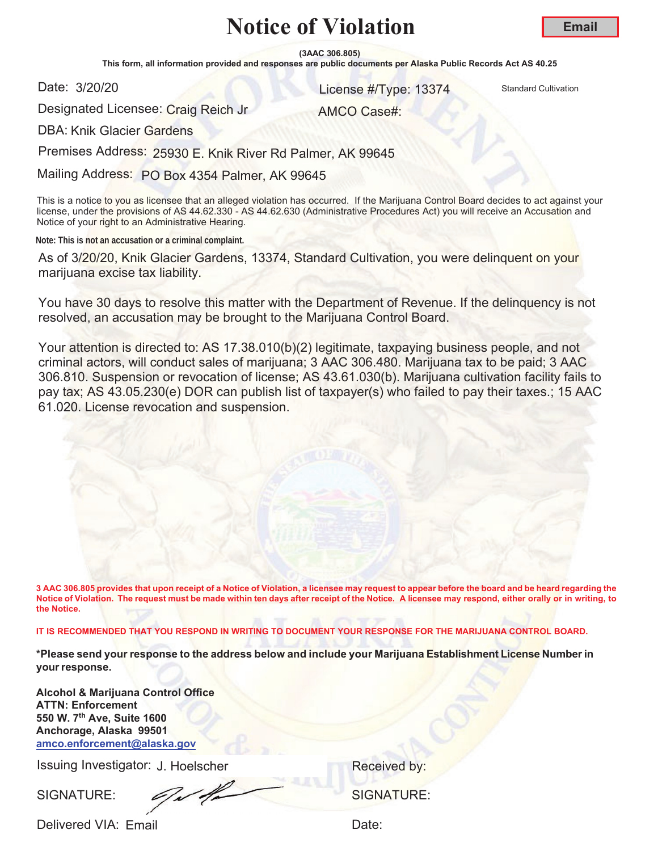**(3AAC 306.805)**

This form, all information provided and responses are public documents per Alaska Public Records Act AS 40.25

Date: 3/20/20

**S/20/20 13374** Standard Cultivation

AMCO Case#:

Designated Licensee: Craig Reich Jr

DBA: Knik Glacier Gardens

Premises Address: 25930 E. Knik River Rd Palmer, AK 99645

Mailing Address: PO Box 4354 Palmer, AK 99645

This is a notice to you as licensee that an alleged violation has occurred. If the Marijuana Control Board decides to act against your license, under the provisions of AS 44.62.330 - AS 44.62.630 (Administrative Procedures Act) you will receive an Accusation and Notice of your right to an Administrative Hearing.

**Note: This is not an accusation or a criminal complaint.**

As of 3/20/20, Knik Glacier Gardens, 13374, Standard Cultivation, you were delinquent on your marijuana excise tax liability.

You have 30 days to resolve this matter with the Department of Revenue. If the delinquency is not resolved, an accusation may be brought to the Marijuana Control Board.

Your attention is directed to: AS 17.38.010(b)(2) legitimate, taxpaying business people, and not criminal actors, will conduct sales of marijuana; 3 AAC 306.480. Marijuana tax to be paid; 3 AAC 306.810. Suspension or revocation of license; AS 43.61.030(b). Marijuana cultivation facility fails to pay tax; AS 43.05.230(e) DOR can publish list of taxpayer(s) who failed to pay their taxes.; 15 AAC 61.020. License revocation and suspension.

**3 AAC 306.805 provides that upon receipt of a Notice of Violation, a licensee may request to appear before the board and be heard regarding the Notice of Violation. The request must be made within ten days after receipt of the Notice. A licensee may respond, either orally or in writing, to the Notice.** 

**IT IS RECOMMENDED THAT YOU RESPOND IN WRITING TO DOCUMENT YOUR RESPONSE FOR THE MARIJUANA CONTROL BOARD.**

**\*Please send your response to the address below and include your Marijuana Establishment License Number in your response.**

**Alcohol & Marijuana Control Office ATTN: Enforcement 550 W. 7th Ave, Suite 1600 Anchorage, Alaska 99501 amco.enforcement@alaska.gov**

Issuing Investigator: J. Hoelscher **Election Control Control Control Control Control Control Control Control Control Control Control Control Control Control Control Control Control Control Control Control Control Control C** 

SIGNATURE: 6/1/2000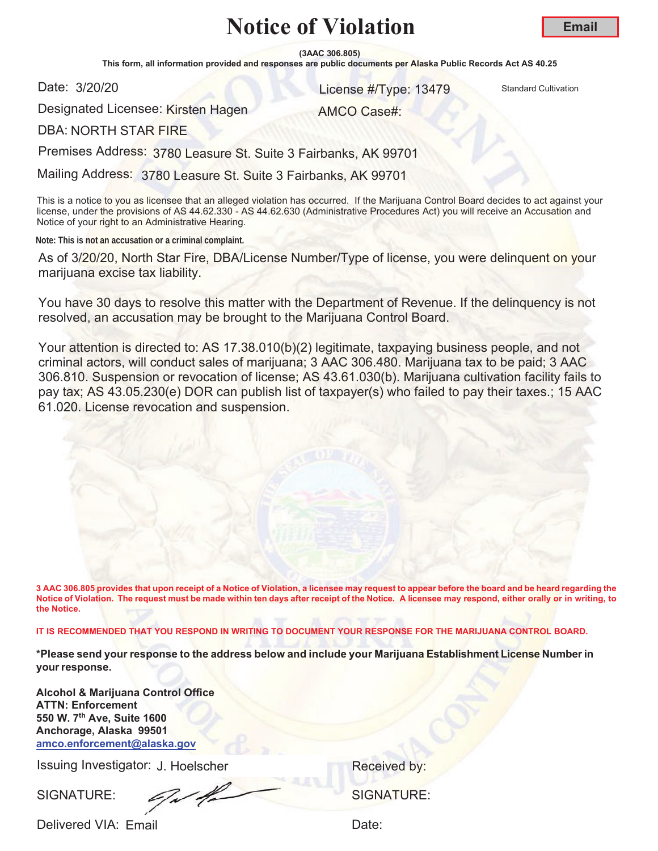**(3AAC 306.805)**

This form, all information provided and responses are public documents per Alaska Public Records Act AS 40.25

Date: 3/20/20

**S/20/20** Standard Cultivation **Contract Cultivation Contract Cultivation Contract Cultivation** 

Designated Licensee: Kirsten Hagen

AMCO Case#:

DBA: NORTH STAR FIRE

Premises Address: 3780 Leasure St. Suite 3 Fairbanks, AK 99701

Mailing Address: 3780 Leasure St. Suite 3 Fairbanks, AK 99701

This is a notice to you as licensee that an alleged violation has occurred. If the Marijuana Control Board decides to act against your license, under the provisions of AS 44.62.330 - AS 44.62.630 (Administrative Procedures Act) you will receive an Accusation and Notice of your right to an Administrative Hearing.

**Note: This is not an accusation or a criminal complaint.**

As of 3/20/20, North Star Fire, DBA/License Number/Type of license, you were delinquent on your marijuana excise tax liability.

You have 30 days to resolve this matter with the Department of Revenue. If the delinquency is not resolved, an accusation may be brought to the Marijuana Control Board.

Your attention is directed to: AS 17.38.010(b)(2) legitimate, taxpaying business people, and not criminal actors, will conduct sales of marijuana; 3 AAC 306.480. Marijuana tax to be paid; 3 AAC 306.810. Suspension or revocation of license; AS 43.61.030(b). Marijuana cultivation facility fails to pay tax; AS 43.05.230(e) DOR can publish list of taxpayer(s) who failed to pay their taxes.; 15 AAC 61.020. License revocation and suspension.

**3 AAC 306.805 provides that upon receipt of a Notice of Violation, a licensee may request to appear before the board and be heard regarding the Notice of Violation. The request must be made within ten days after receipt of the Notice. A licensee may respond, either orally or in writing, to the Notice.** 

**IT IS RECOMMENDED THAT YOU RESPOND IN WRITING TO DOCUMENT YOUR RESPONSE FOR THE MARIJUANA CONTROL BOARD.**

**\*Please send your response to the address below and include your Marijuana Establishment License Number in your response.**

**Alcohol & Marijuana Control Office ATTN: Enforcement 550 W. 7th Ave, Suite 1600 Anchorage, Alaska 99501 amco.enforcement@alaska.gov**

Issuing Investigator: J. Hoelscher **Election Control Control Control Control Control Control Control Control Control Control Control Control Control Control Control Control Control Control Control Control Control Control C** 

SIGNATURE: SIGNATURE: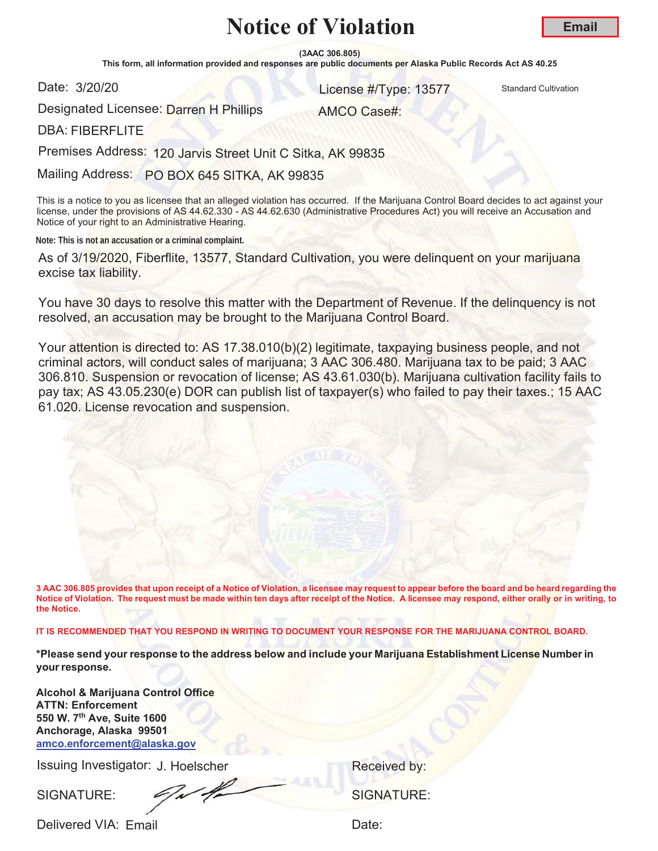**(3AAC 306.805)**

This form, all information provided and responses are public documents per Alaska Public Records Act AS 40.25

Date: 3/20/20

**S/20/20 13577** Standard Cultivation

Designated Licensee: <mark>Darren H Philli</mark>ps

AMCO Case#:

DBA: FIBERFLITE

Premises Address: 120 Jarvis Street Unit C Sitka, AK 99835

Mailing Address: PO BOX 645 SITKA, AK 99835

This is a notice to you as licensee that an alleged violation has occurred. If the Marijuana Control Board decides to act against your license, under the provisions of AS 44.62.330 - AS 44.62.630 (Administrative Procedures Act) you will receive an Accusation and Notice of your right to an Administrative Hearing.

**Note: This is not an accusation or a criminal complaint.**

As of 3/19/2020, Fiberflite, 13577, Standard Cultivation, you were delinquent on your marijuana excise tax liability.

You have 30 days to resolve this matter with the Department of Revenue. If the delinquency is not resolved, an accusation may be brought to the Marijuana Control Board.

Your attention is directed to: AS 17.38.010(b)(2) legitimate, taxpaying business people, and not criminal actors, will conduct sales of marijuana; 3 AAC 306.480. Marijuana tax to be paid; 3 AAC 306.810. Suspension or revocation of license; AS 43.61.030(b). Marijuana cultivation facility fails to pay tax; AS 43.05.230(e) DOR can publish list of taxpayer(s) who failed to pay their taxes.; 15 AAC 61.020. License revocation and suspension.

**3 AAC 306.805 provides that upon receipt of a Notice of Violation, a licensee may request to appear before the board and be heard regarding the Notice of Violation. The request must be made within ten days after receipt of the Notice. A licensee may respond, either orally or in writing, to the Notice.** 

**IT IS RECOMMENDED THAT YOU RESPOND IN WRITING TO DOCUMENT YOUR RESPONSE FOR THE MARIJUANA CONTROL BOARD.**

**\*Please send your response to the address below and include your Marijuana Establishment License Number in your response.**

**Alcohol & Marijuana Control Office ATTN: Enforcement 550 W. 7th Ave, Suite 1600 Anchorage, Alaska 99501 amco.enforcement@alaska.gov**

Issuing Investigator: J. Hoelscher **Election Control Control Control Control Control Control Control Control Control Control Control Control Control Control Control Control Control Control Control Control Control Control C** 

SIGNATURE: SIGNATURE: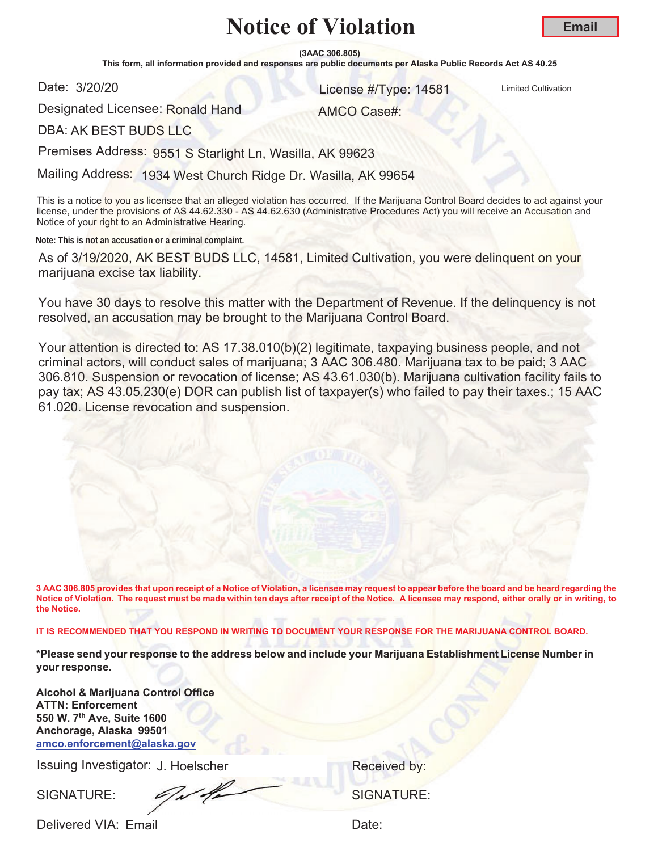**(3AAC 306.805)**

This form, all information provided and responses are public documents per Alaska Public Records Act AS 40.25

Date: 3/20/20

**COLLEGE AT AND CONTROLL CONTROLL CONTROLL CONTROLL CONTROLL CONTROLL CONTROLL CONTROLL CONTROLL CONTROLL CONTROLL CONTROLL CONTROLL CONTROLL CONTROLL CONTROLL CONTROLL CONTROLL CONTROLL CONTROLL CONTROLL CONTROLL CONTROLL** 

Designated Licensee: Ronald Hand

AMCO Case#:

DBA: AK BEST BUDS LLC

Premises Address: 9551 S Starlight Ln, Wasilla, AK 99623

Mailing Address: 1934 West Church Ridge Dr. Wasilla, AK 99654

This is a notice to you as licensee that an alleged violation has occurred. If the Marijuana Control Board decides to act against your license, under the provisions of AS 44.62.330 - AS 44.62.630 (Administrative Procedures Act) you will receive an Accusation and Notice of your right to an Administrative Hearing.

**Note: This is not an accusation or a criminal complaint.**

As of 3/19/2020, AK BEST BUDS LLC, 14581, Limited Cultivation, you were delinquent on your marijuana excise tax liability.

You have 30 days to resolve this matter with the Department of Revenue. If the delinquency is not resolved, an accusation may be brought to the Marijuana Control Board.

Your attention is directed to: AS 17.38.010(b)(2) legitimate, taxpaying business people, and not criminal actors, will conduct sales of marijuana; 3 AAC 306.480. Marijuana tax to be paid; 3 AAC 306.810. Suspension or revocation of license; AS 43.61.030(b). Marijuana cultivation facility fails to pay tax; AS 43.05.230(e) DOR can publish list of taxpayer(s) who failed to pay their taxes.; 15 AAC 61.020. License revocation and suspension.

**3 AAC 306.805 provides that upon receipt of a Notice of Violation, a licensee may request to appear before the board and be heard regarding the Notice of Violation. The request must be made within ten days after receipt of the Notice. A licensee may respond, either orally or in writing, to the Notice.** 

**IT IS RECOMMENDED THAT YOU RESPOND IN WRITING TO DOCUMENT YOUR RESPONSE FOR THE MARIJUANA CONTROL BOARD.**

**\*Please send your response to the address below and include your Marijuana Establishment License Number in your response.**

**Alcohol & Marijuana Control Office ATTN: Enforcement 550 W. 7th Ave, Suite 1600 Anchorage, Alaska 99501 amco.enforcement@alaska.gov**

Issuing Investigator: J. Hoelscher **Election Control Control Control Control Control Control Control Control Control Control Control Control Control Control Control Control Control Control Control Control Control Control C** 

SIGNATURE: SIGNATURE: